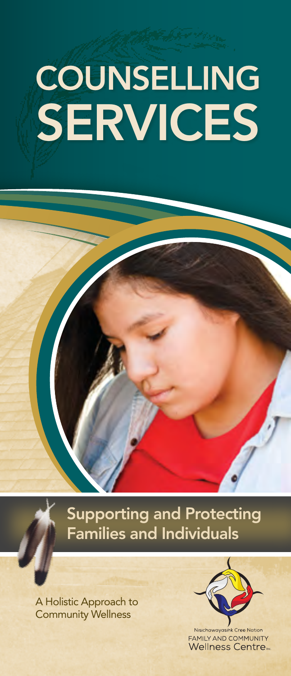# COUNSELLING **SERVICES**

Supporting and Protecting Families and Individuals

A Holistic Approach to Community Wellness



**FAMILY AND COMMUNITY Wellness Centre**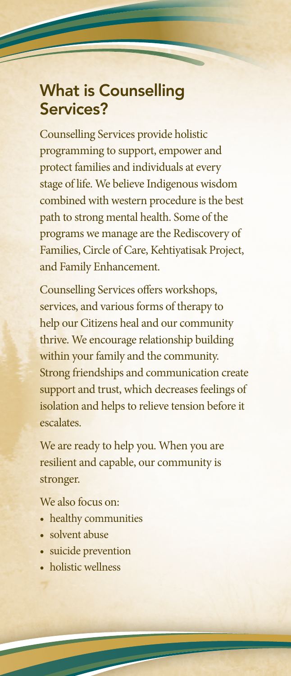#### What is Counselling Services?

Counselling Services provide holistic programming to support, empower and protect families and individuals at every stage of life. We believe Indigenous wisdom combined with western procedure is the best path to strong mental health. Some of the programs we manage are the Rediscovery of Families, Circle of Care, Kehtiyatisak Project, and Family Enhancement.

Counselling Services offers workshops, services, and various forms of therapy to help our Citizens heal and our community thrive. We encourage relationship building within your family and the community. Strong friendships and communication create support and trust, which decreases feelings of isolation and helps to relieve tension before it escalates.

We are ready to help you. When you are resilient and capable, our community is stronger.

We also focus on:

- healthy communities
- solvent abuse
- suicide prevention
- holistic wellness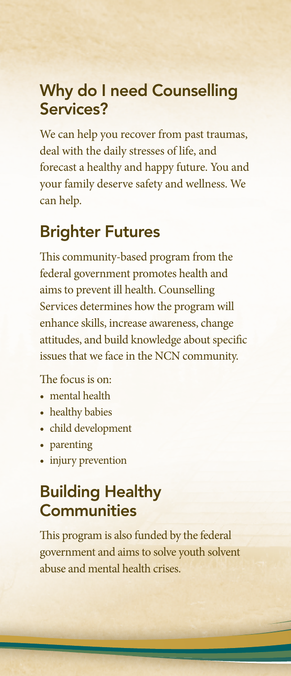#### Why do I need Counselling Services?

We can help you recover from past traumas, deal with the daily stresses of life, and forecast a healthy and happy future. You and your family deserve safety and wellness. We can help.

#### Brighter Futures

This community-based program from the federal government promotes health and aims to prevent ill health. Counselling Services determines how the program will enhance skills, increase awareness, change attitudes, and build knowledge about specific issues that we face in the NCN community.

#### The focus is on:

- mental health
- healthy babies
- child development
- parenting
- injury prevention

## Building Healthy **Communities**

This program is also funded by the federal government and aims to solve youth solvent abuse and mental health crises.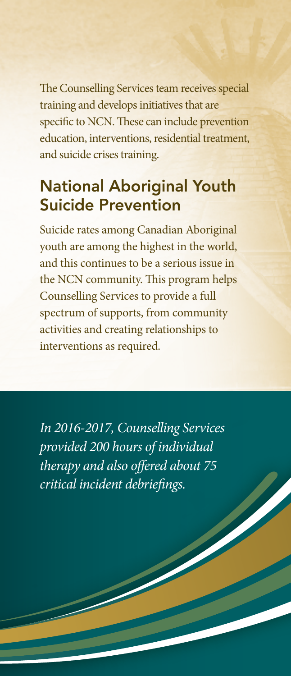The Counselling Services team receives special training and develops initiatives that are specific to NCN. These can include prevention education, interventions, residential treatment, and suicide crises training.

## National Aboriginal Youth Suicide Prevention

Suicide rates among Canadian Aboriginal youth are among the highest in the world, and this continues to be a serious issue in the NCN community. This program helps Counselling Services to provide a full spectrum of supports, from community activities and creating relationships to interventions as required.

*In 2016-2017, Counselling Services provided 200 hours of individual therapy and also offered about 75 critical incident debriefings.*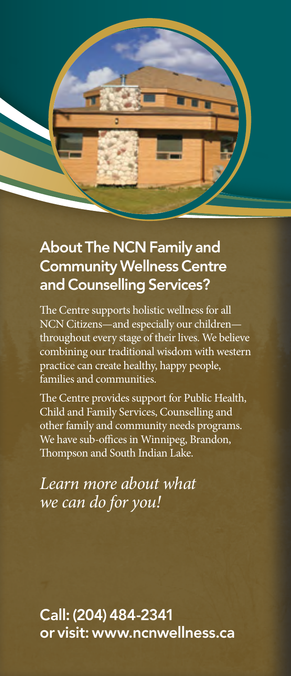

#### About The NCN Family and Community Wellness Centre and Counselling Services?

The Centre supports holistic wellness for all NCN Citizens—and especially our childrenthroughout every stage of their lives. We believe combining our traditional wisdom with western practice can create healthy, happy people, families and communities.

The Centre provides support for Public Health, Child and Family Services, Counselling and other family and community needs programs. We have sub-offices in Winnipeg, Brandon, Thompson and South Indian Lake.

*Learn more about what we can do for you!*

Call: (204) 484-2341 or visit: www.ncnwellness.ca